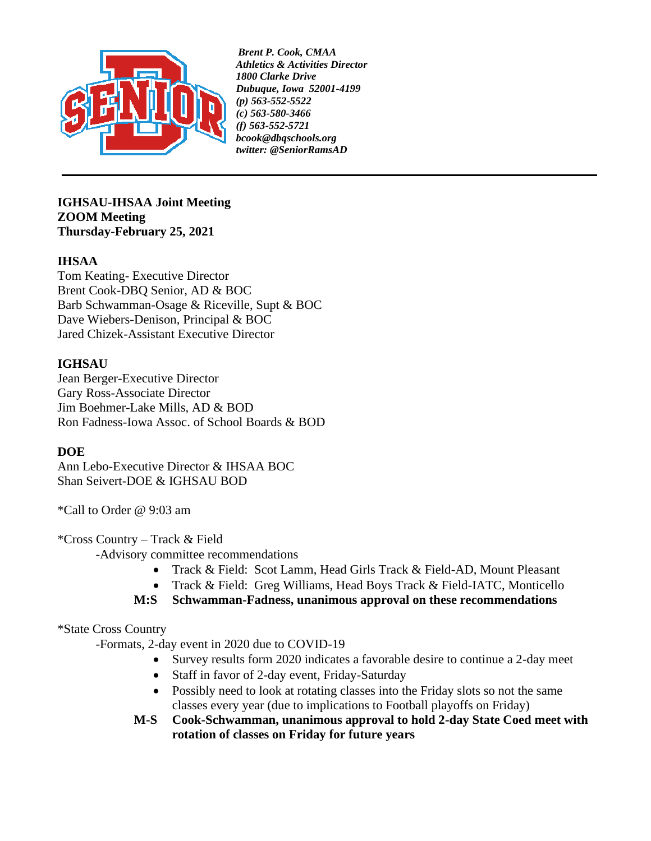

*Brent P. Cook, CMAA Athletics & Activities Director 1800 Clarke Drive Dubuque, Iowa 52001-4199 (p) 563-552-5522 (c) 563-580-3466 (f) 563-552-5721 [bcook@dbqschools.org](mailto:bcook@dbqschools.org) twitter: @SeniorRamsAD*

#### **IGHSAU-IHSAA Joint Meeting ZOOM Meeting Thursday-February 25, 2021**

# **IHSAA**

Tom Keating- Executive Director Brent Cook-DBQ Senior, AD & BOC Barb Schwamman-Osage & Riceville, Supt & BOC Dave Wiebers-Denison, Principal & BOC Jared Chizek-Assistant Executive Director

### **IGHSAU**

Jean Berger-Executive Director Gary Ross-Associate Director Jim Boehmer-Lake Mills, AD & BOD Ron Fadness-Iowa Assoc. of School Boards & BOD

# **DOE**

Ann Lebo-Executive Director & IHSAA BOC Shan Seivert-DOE & IGHSAU BOD

\*Call to Order @ 9:03 am

\*Cross Country – Track & Field

-Advisory committee recommendations

- Track & Field: Scot Lamm, Head Girls Track & Field-AD, Mount Pleasant
- Track & Field: Greg Williams, Head Boys Track & Field-IATC, Monticello
- **M:S Schwamman-Fadness, unanimous approval on these recommendations**

\*State Cross Country

-Formats, 2-day event in 2020 due to COVID-19

- Survey results form 2020 indicates a favorable desire to continue a 2-day meet
- Staff in favor of 2-day event, Friday-Saturday
- Possibly need to look at rotating classes into the Friday slots so not the same classes every year (due to implications to Football playoffs on Friday)
- **M-S Cook-Schwamman, unanimous approval to hold 2-day State Coed meet with rotation of classes on Friday for future years**